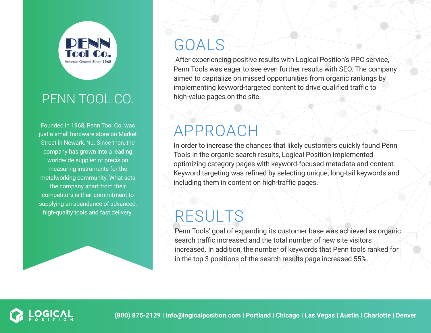

#### PENN TOOL CO.

Founded in 1968, Penn Tool Co. was just a small hardware store on Market Street in Newark, NJ. Since then, the company has grown into a leading worldwide supplier of precision measuring instruments for the metalworking community. What sets the company apart from their competitors is their commitment to supplying an abundance of advanced, high-quality tools and fast delivery.

# GOALS

 After experiencing positive results with Logical Position's PPC service, Penn Tools was eager to see even further results with SEO. The company aimed to capitalize on missed opportunities from organic rankings by implementing keyword-targeted content to drive qualified traffic to high-value pages on the site.

## APPROACH

In order to increase the chances that likely customers quickly found Penn Tools in the organic search results, Logical Position implemented optimizing category pages with keyword-focused metadata and content. Keyword targeting was refined by selecting unique, long-tail keywords and including them in content on high-traffic pages.

# RESULTS

Penn Tools' goal of expanding its customer base was achieved as organic search traffic increased and the total number of new site visitors increased. In addition, the number of keywords that Penn tools ranked for in the top 3 positions of the search results page increased 55%.

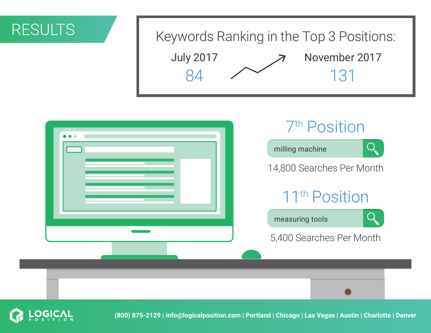### RESULTS

# July 2017 November 2017 84 2 131 Keywords Ranking in the Top 3 Positions:





**(800) 875-2129 | info@logicalposition.com | Portland | Chicago | Las Vegas | Austin | Charlotte | Denver**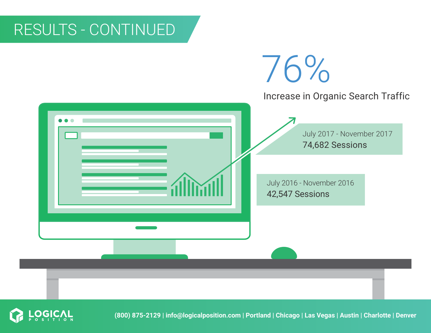## RESULTS - CONTINUED





**(800) 875-2129 | info@logicalposition.com | Portland | Chicago | Las Vegas | Austin | Charlotte | Denver**